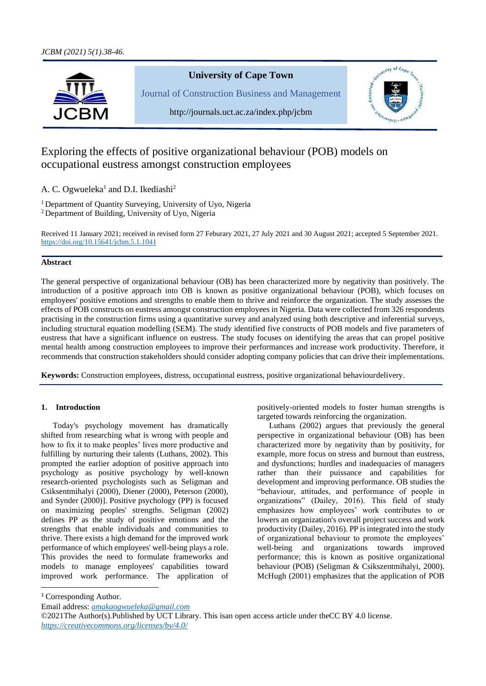

# **University of Cape Town**

Journal of Construction Business and Management



http://journals.uct.ac.za/index.php/jcbm

# Exploring the effects of positive organizational behaviour (POB) models on occupational eustress amongst construction employees

A. C. Ogwueleka<sup>1</sup> and D.I. Ikediashi<sup>2</sup>

<sup>1</sup> Department of Quantity Surveying, University of Uyo, Nigeria <sup>2</sup> Department of Building, University of Uyo, Nigeria

Received 11 January 2021; received in revised form 27 Feburary 2021, 27 July 2021 and 30 August 2021; accepted 5 September 2021. [https://doi.org/10.15641/jcbm.5.1.1](https://doi.org/10.15641/jcbm.5.1.)041

# **Abstract**

The general perspective of organizational behaviour (OB) has been characterized more by negativity than positively. The introduction of a positive approach into OB is known as positive organizational behaviour (POB), which focuses on employees' positive emotions and strengths to enable them to thrive and reinforce the organization. The study assesses the effects of POB constructs on eustress amongst construction employees in Nigeria. Data were collected from 326 respondents practising in the construction firms using a quantitative survey and analyzed using both descriptive and inferential surveys, including structural equation modelling (SEM). The study identified five constructs of POB models and five parameters of eustress that have a significant influence on eustress. The study focuses on identifying the areas that can propel positive mental health among construction employees to improve their performances and increase work productivity. Therefore, it recommends that construction stakeholders should consider adopting company policies that can drive their implementations.

**Keywords:** Construction employees, distress, occupational eustress, positive organizational behaviourdelivery.

# **1. Introduction**

Today's psychology movement has dramatically shifted from researching what is wrong with people and how to fix it to make peoples' lives more productive and fulfilling by nurturing their talents (Luthans, 2002). This prompted the earlier adoption of positive approach into psychology as positive psychology by well-known research-oriented psychologists such as Seligman and Csiksentmihalyi (2000), Diener (2000), Peterson (2000), and Synder (2000)]. Positive psychology (PP) is focused on maximizing peoples' strengths. Seligman (2002) defines PP as the study of positive emotions and the strengths that enable individuals and communities to thrive. There exists a high demand for the improved work performance of which employees' well-being plays a role. This provides the need to formulate frameworks and models to manage employees' capabilities toward improved work performance. The application of positively-oriented models to foster human strengths is targeted towards reinforcing the organization.

Luthans (2002) argues that previously the general perspective in organizational behaviour (OB) has been characterized more by negativity than by positivity, for example, more focus on stress and burnout than eustress, and dysfunctions; hurdles and inadequacies of managers rather than their puissance and capabilities for development and improving performance. OB studies the "behaviour, attitudes, and performance of people in organizations" (Dailey, 2016). This field of study emphasizes how employees' work contributes to or lowers an organization's overall project success and work productivity (Dailey, 2016). PP is integrated into the study of organizational behaviour to promote the employees' well-being and organizations towards improved performance; this is known as positive organizational behaviour (POB) (Seligman & Csikszentmihalyi, 2000). McHugh (2001) emphasizes that the application of POB

<sup>1</sup> Corresponding Author.

Email address: *[amakaogwueleka@gmail.com](mailto:amakaogwueleka@gmail.com)*

©2021The Author(s).Published by UCT Library. This isan open access article under theCC BY 4.0 license. *<https://creativecommons.org/licenses/by/4.0/>*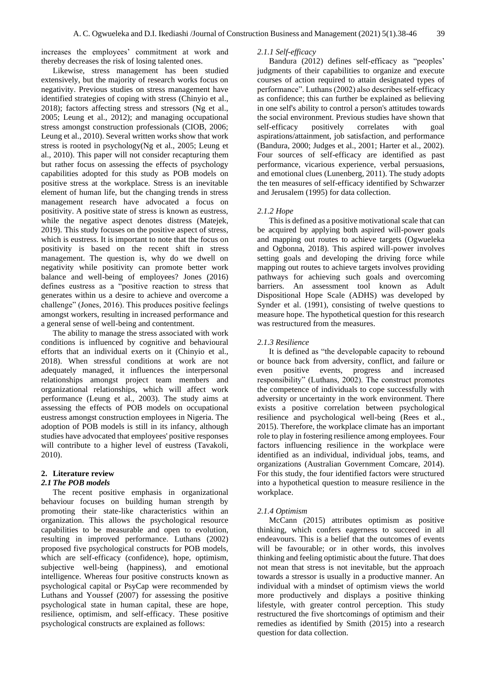increases the employees' commitment at work and thereby decreases the risk of losing talented ones.

Likewise, stress management has been studied extensively, but the majority of research works focus on negativity. Previous studies on stress management have identified strategies of coping with stress (Chinyio et al., 2018); factors affecting stress and stressors (Ng et al., 2005; Leung et al., 2012); and managing occupational stress amongst construction professionals (CIOB, 2006; Leung et al., 2010). Several written works show that work stress is rooted in psychology(Ng et al., 2005; Leung et al., 2010). This paper will not consider recapturing them but rather focus on assessing the effects of psychology capabilities adopted for this study as POB models on positive stress at the workplace. Stress is an inevitable element of human life, but the changing trends in stress management research have advocated a focus on positivity. A positive state of stress is known as eustress, while the negative aspect denotes distress (Matejek, 2019). This study focuses on the positive aspect of stress, which is eustress. It is important to note that the focus on positivity is based on the recent shift in stress management. The question is, why do we dwell on negativity while positivity can promote better work balance and well-being of employees? Jones (2016) defines eustress as a "positive reaction to stress that generates within us a desire to achieve and overcome a challenge" (Jones, 2016). This produces positive feelings amongst workers, resulting in increased performance and a general sense of well-being and contentment.

The ability to manage the stress associated with work conditions is influenced by cognitive and behavioural efforts that an individual exerts on it (Chinyio et al., 2018). When stressful conditions at work are not adequately managed, it influences the interpersonal relationships amongst project team members and organizational relationships, which will affect work performance (Leung et al., 2003). The study aims at assessing the effects of POB models on occupational eustress amongst construction employees in Nigeria. The adoption of POB models is still in its infancy, although studies have advocated that employees' positive responses will contribute to a higher level of eustress (Tavakoli, 2010).

# **2. Literature review**

#### *2.1 The POB models*

The recent positive emphasis in organizational behaviour focuses on building human strength by promoting their state-like characteristics within an organization. This allows the psychological resource capabilities to be measurable and open to evolution, resulting in improved performance. Luthans (2002) proposed five psychological constructs for POB models, which are self-efficacy (confidence), hope, optimism, subjective well-being (happiness), and emotional intelligence. Whereas four positive constructs known as psychological capital or PsyCap were recommended by Luthans and Youssef (2007) for assessing the positive psychological state in human capital, these are hope, resilience, optimism, and self-efficacy. These positive psychological constructs are explained as follows:

# *2.1.1 Self-efficacy*

Bandura (2012) defines self-efficacy as "peoples' judgments of their capabilities to organize and execute courses of action required to attain designated types of performance". Luthans (2002) also describes self-efficacy as confidence; this can further be explained as believing in one self's ability to control a person's attitudes towards the social environment. Previous studies have shown that self-efficacy positively correlates with goal aspirations/attainment, job satisfaction, and performance (Bandura, 2000; Judges et al., 2001; Harter et al., 2002). Four sources of self-efficacy are identified as past performance, vicarious experience, verbal persuasions, and emotional clues (Lunenberg, 2011). The study adopts the ten measures of self-efficacy identified by Schwarzer and Jerusalem (1995) for data collection.

### *2.1.2 Hope*

This is defined as a positive motivational scale that can be acquired by applying both aspired will-power goals and mapping out routes to achieve targets (Ogwueleka and Ogbonna, 2018). This aspired will-power involves setting goals and developing the driving force while mapping out routes to achieve targets involves providing pathways for achieving such goals and overcoming barriers. An assessment tool known as Adult Dispositional Hope Scale (ADHS) was developed by Synder et al. (1991), consisting of twelve questions to measure hope. The hypothetical question for this research was restructured from the measures.

### *2.1.3 Resilience*

It is defined as "the developable capacity to rebound or bounce back from adversity, conflict, and failure or even positive events, progress and increased responsibility" (Luthans, 2002). The construct promotes the competence of individuals to cope successfully with adversity or uncertainty in the work environment. There exists a positive correlation between psychological resilience and psychological well-being (Rees et al., 2015). Therefore, the workplace climate has an important role to play in fostering resilience among employees. Four factors influencing resilience in the workplace were identified as an individual, individual jobs, teams, and organizations (Australian Government Comcare, 2014). For this study, the four identified factors were structured into a hypothetical question to measure resilience in the workplace.

#### *2.1.4 Optimism*

McCann (2015) attributes optimism as positive thinking, which confers eagerness to succeed in all endeavours. This is a belief that the outcomes of events will be favourable; or in other words, this involves thinking and feeling optimistic about the future. That does not mean that stress is not inevitable, but the approach towards a stressor is usually in a productive manner. An individual with a mindset of optimism views the world more productively and displays a positive thinking lifestyle, with greater control perception. This study restructured the five shortcomings of optimism and their remedies as identified by Smith (2015) into a research question for data collection.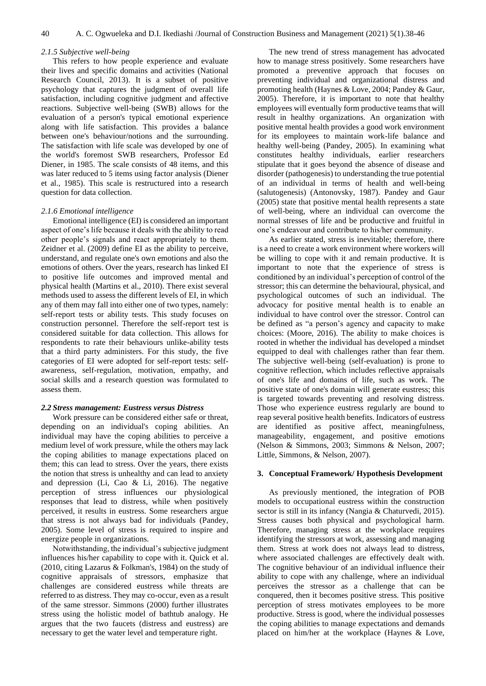#### *2.1.5 Subjective well-being*

This refers to how people experience and evaluate their lives and specific domains and activities (National Research Council, 2013). It is a subset of positive psychology that captures the judgment of overall life satisfaction, including cognitive judgment and affective reactions. Subjective well-being (SWB) allows for the evaluation of a person's typical emotional experience along with life satisfaction. This provides a balance between one's behaviour/notions and the surrounding. The satisfaction with life scale was developed by one of the world's foremost SWB researchers, Professor Ed Diener, in 1985. The scale consists of 48 items, and this was later reduced to 5 items using factor analysis (Diener et al., 1985). This scale is restructured into a research question for data collection.

# *2.1.6 Emotional intelligence*

Emotional intelligence (EI) is considered an important aspect of one's life because it deals with the ability to read other people's signals and react appropriately to them. Zeidner et al. (2009) define EI as the ability to perceive, understand, and regulate one's own emotions and also the emotions of others. Over the years, research has linked EI to positive life outcomes and improved mental and physical health (Martins et al., 2010). There exist several methods used to assess the different levels of EI, in which any of them may fall into either one of two types, namely: self-report tests or ability tests. This study focuses on construction personnel. Therefore the self-report test is considered suitable for data collection. This allows for respondents to rate their behaviours unlike-ability tests that a third party administers. For this study, the five categories of EI were adopted for self-report tests: selfawareness, self-regulation, motivation, empathy, and social skills and a research question was formulated to assess them.

#### *2.2 Stress management: Eustress versus Distress*

Work pressure can be considered either safe or threat, depending on an individual's coping abilities. An individual may have the coping abilities to perceive a medium level of work pressure, while the others may lack the coping abilities to manage expectations placed on them; this can lead to stress. Over the years, there exists the notion that stress is unhealthy and can lead to anxiety and depression (Li, Cao & Li, 2016). The negative perception of stress influences our physiological responses that lead to distress, while when positively perceived, it results in eustress. Some researchers argue that stress is not always bad for individuals (Pandey, 2005). Some level of stress is required to inspire and energize people in organizations.

Notwithstanding, the individual's subjective judgment influences his/her capability to cope with it. Quick et al. (2010, citing Lazarus & Folkman's, 1984) on the study of cognitive appraisals of stressors, emphasize that challenges are considered eustress while threats are referred to as distress. They may co-occur, even as a result of the same stressor. Simmons (2000) further illustrates stress using the holistic model of bathtub analogy. He argues that the two faucets (distress and eustress) are necessary to get the water level and temperature right.

The new trend of stress management has advocated how to manage stress positively. Some researchers have promoted a preventive approach that focuses on preventing individual and organizational distress and promoting health (Haynes & Love, 2004; Pandey & Gaur, 2005). Therefore, it is important to note that healthy employees will eventually form productive teams that will result in healthy organizations. An organization with positive mental health provides a good work environment for its employees to maintain work-life balance and healthy well-being (Pandey, 2005). In examining what constitutes healthy individuals, earlier researchers stipulate that it goes beyond the absence of disease and disorder (pathogenesis) to understanding the true potential of an individual in terms of health and well-being (salutogenesis) (Antonovsky, 1987). Pandey and Gaur (2005) state that positive mental health represents a state of well-being, where an individual can overcome the normal stresses of life and be productive and fruitful in one's endeavour and contribute to his/her community.

As earlier stated, stress is inevitable; therefore, there is a need to create a work environment where workers will be willing to cope with it and remain productive. It is important to note that the experience of stress is conditioned by an individual's perception of control of the stressor; this can determine the behavioural, physical, and psychological outcomes of such an individual. The advocacy for positive mental health is to enable an individual to have control over the stressor. Control can be defined as "a person's agency and capacity to make choices: (Moore, 2016). The ability to make choices is rooted in whether the individual has developed a mindset equipped to deal with challenges rather than fear them. The subjective well-being (self-evaluation) is prone to cognitive reflection, which includes reflective appraisals of one's life and domains of life, such as work. The positive state of one's domain will generate eustress; this is targeted towards preventing and resolving distress. Those who experience eustress regularly are bound to reap several positive health benefits. Indicators of eustress are identified as positive affect, meaningfulness, manageability, engagement, and positive emotions (Nelson & Simmons, 2003; Simmons & Nelson, 2007; Little, Simmons, & Nelson, 2007).

### **3. Conceptual Framework/ Hypothesis Development**

As previously mentioned, the integration of POB models to occupational eustress within the construction sector is still in its infancy (Nangia & Chaturvedi, 2015). Stress causes both physical and psychological harm. Therefore, managing stress at the workplace requires identifying the stressors at work, assessing and managing them. Stress at work does not always lead to distress, where associated challenges are effectively dealt with. The cognitive behaviour of an individual influence their ability to cope with any challenge, where an individual perceives the stressor as a challenge that can be conquered, then it becomes positive stress. This positive perception of stress motivates employees to be more productive. Stress is good, where the individual possesses the coping abilities to manage expectations and demands placed on him/her at the workplace (Haynes & Love,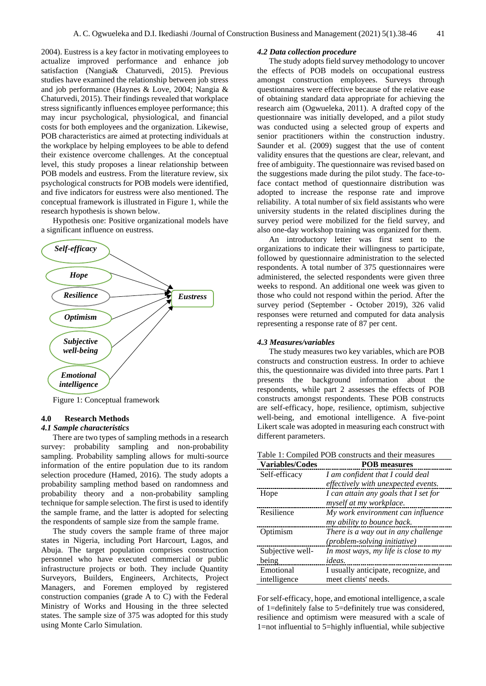2004). Eustress is a key factor in motivating employees to actualize improved performance and enhance job satisfaction (Nangia& Chaturvedi, 2015). Previous studies have examined the relationship between job stress and job performance (Haynes & Love, 2004; Nangia & Chaturvedi, 2015). Their findings revealed that workplace stress significantly influences employee performance; this may incur psychological, physiological, and financial costs for both employees and the organization. Likewise, POB characteristics are aimed at protecting individuals at the workplace by helping employees to be able to defend their existence overcome challenges. At the conceptual level, this study proposes a linear relationship between POB models and eustress. From the literature review, six psychological constructs for POB models were identified, and five indicators for eustress were also mentioned. The conceptual framework is illustrated in Figure 1, while the research hypothesis is shown below.

Hypothesis one: Positive organizational models have a significant influence on eustress.



Figure 1: Conceptual framework

# **4.0 Research Methods**

# *4.1 Sample characteristics*

There are two types of sampling methods in a research survey: probability sampling and non-probability sampling. Probability sampling allows for multi-source information of the entire population due to its random selection procedure (Hamed, 2016). The study adopts a probability sampling method based on randomness and probability theory and a non-probability sampling technique for sample selection. The first is used to identify the sample frame, and the latter is adopted for selecting the respondents of sample size from the sample frame.

The study covers the sample frame of three major states in Nigeria, including Port Harcourt, Lagos, and Abuja. The target population comprises construction personnel who have executed commercial or public infrastructure projects or both. They include Quantity Surveyors, Builders, Engineers, Architects, Project Managers, and Foremen employed by registered construction companies (grade A to C) with the Federal Ministry of Works and Housing in the three selected states. The sample size of 375 was adopted for this study using Monte Carlo Simulation.

#### *4.2 Data collection procedure*

The study adopts field survey methodology to uncover the effects of POB models on occupational eustress amongst construction employees. Surveys through questionnaires were effective because of the relative ease of obtaining standard data appropriate for achieving the research aim (Ogwueleka, 2011). A drafted copy of the questionnaire was initially developed, and a pilot study was conducted using a selected group of experts and senior practitioners within the construction industry. Saunder et al. (2009) suggest that the use of content validity ensures that the questions are clear, relevant, and free of ambiguity. The questionnaire was revised based on the suggestions made during the pilot study. The face-toface contact method of questionnaire distribution was adopted to increase the response rate and improve reliability. A total number of six field assistants who were university students in the related disciplines during the survey period were mobilized for the field survey, and also one-day workshop training was organized for them.

An introductory letter was first sent to the organizations to indicate their willingness to participate, followed by questionnaire administration to the selected respondents. A total number of 375 questionnaires were administered, the selected respondents were given three weeks to respond. An additional one week was given to those who could not respond within the period. After the survey period (September - October 2019), 326 valid responses were returned and computed for data analysis representing a response rate of 87 per cent.

#### *4.3 Measures/variables*

The study measures two key variables, which are POB constructs and construction eustress. In order to achieve this, the questionnaire was divided into three parts. Part 1 presents the background information about the respondents, while part 2 assesses the effects of POB constructs amongst respondents. These POB constructs are self-efficacy, hope, resilience, optimism, subjective well-being, and emotional intelligence. A five-point Likert scale was adopted in measuring each construct with different parameters.

|--|

| <b>Variables/Codes</b> | <b>POB</b> measures                   |
|------------------------|---------------------------------------|
| Self-efficacy          | I am confident that I could deal      |
|                        | effectively with unexpected events.   |
| Hope                   | I can attain any goals that I set for |
|                        | myself at my workplace.               |
| Resilience             | My work environment can influence     |
|                        | my ability to bounce back.            |
| Optimism               | There is a way out in any challenge   |
|                        | <i>(problem-solving initiative)</i>   |
| Subjective well-       | In most ways, my life is close to my  |
| being                  | ideas.                                |
| Emotional              | I usually anticipate, recognize, and  |
| intelligence           | meet clients' needs.                  |

For self-efficacy, hope, and emotional intelligence, a scale of 1=definitely false to 5=definitely true was considered, resilience and optimism were measured with a scale of 1=not influential to 5=highly influential, while subjective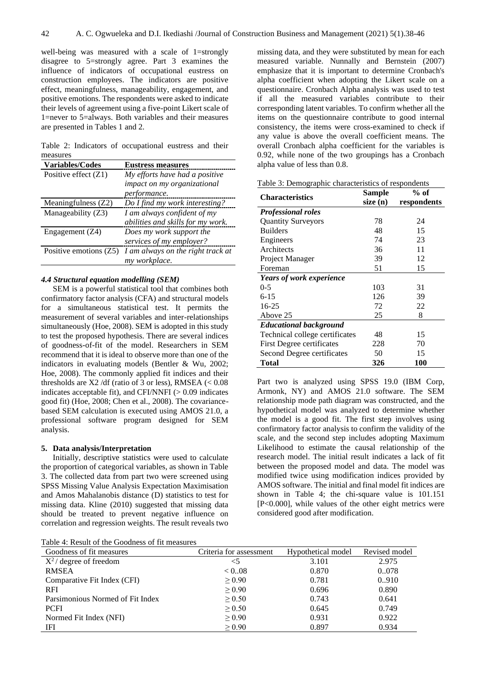well-being was measured with a scale of 1=strongly disagree to 5=strongly agree. Part 3 examines the influence of indicators of occupational eustress on construction employees. The indicators are positive effect, meaningfulness, manageability, engagement, and positive emotions. The respondents were asked to indicate their levels of agreement using a five-point Likert scale of 1=never to 5=always. Both variables and their measures are presented in Tables 1 and 2.

Table 2: Indicators of occupational eustress and their measures

| <b>Variables/Codes</b> | <b>Eustress measures</b>          |
|------------------------|-----------------------------------|
| Positive effect $(Z1)$ | My efforts have had a positive    |
|                        | impact on my organizational       |
|                        | <i>performance.</i>               |
| Meaningfulness (Z2)    | Do I find my work interesting?    |
| Manageability (Z3)     | I am always confident of my       |
|                        | abilities and skills for my work. |
| Engagement (Z4)        | Does my work support the          |
|                        | services of my employer?          |
| Positive emotions (Z5) | I am always on the right track at |
|                        | my workplace.                     |

# *4.4 Structural equation modelling (SEM)*

SEM is a powerful statistical tool that combines both confirmatory factor analysis (CFA) and structural models for a simultaneous statistical test. It permits the measurement of several variables and inter-relationships simultaneously (Hoe, 2008). SEM is adopted in this study to test the proposed hypothesis. There are several indices of goodness-of-fit of the model. Researchers in SEM recommend that it is ideal to observe more than one of the indicators in evaluating models (Bentler & Wu, 2002; Hoe, 2008). The commonly applied fit indices and their thresholds are X2 /df (ratio of 3 or less), RMSEA  $\ll 0.08$ indicates acceptable fit), and CFI/NNFI  $(> 0.09)$  indicates good fit) (Hoe, 2008; Chen et al., 2008). The covariancebased SEM calculation is executed using AMOS 21.0, a professional software program designed for SEM analysis.

#### **5. Data analysis/Interpretation**

Initially, descriptive statistics were used to calculate the proportion of categorical variables, as shown in Table 3. The collected data from part two were screened using SPSS Missing Value Analysis Expectation Maximisation and Amos Mahalanobis distance (D) statistics to test for missing data. Kline (2010) suggested that missing data should be treated to prevent negative influence on correlation and regression weights. The result reveals two

missing data, and they were substituted by mean for each measured variable. Nunnally and Bernstein (2007) emphasize that it is important to determine Cronbach's alpha coefficient when adopting the Likert scale on a questionnaire. Cronbach Alpha analysis was used to test if all the measured variables contribute to their corresponding latent variables. To confirm whether all the items on the questionnaire contribute to good internal consistency, the items were cross-examined to check if any value is above the overall coefficient means. The overall Cronbach alpha coefficient for the variables is 0.92, while none of the two groupings has a Cronbach alpha value of less than 0.8.

|  |  |  | Table 3: Demographic characteristics of respondents |  |  |
|--|--|--|-----------------------------------------------------|--|--|
|--|--|--|-----------------------------------------------------|--|--|

| <b>Characteristics</b>          | Sample   | $%$ of      |  |
|---------------------------------|----------|-------------|--|
|                                 | size (n) | respondents |  |
| <b>Professional roles</b>       |          |             |  |
| <b>Quantity Surveyors</b>       | 78       | 24          |  |
| <b>Builders</b>                 | 48       | 15          |  |
| Engineers                       | 74       | 23          |  |
| Architects                      | 36       | 11          |  |
| Project Manager                 | 39       | 12          |  |
| Foreman                         | 51       | 15          |  |
| <b>Years of work experience</b> |          |             |  |
| $0 - 5$                         | 103      | 31          |  |
| $6 - 15$                        | 126      | 39          |  |
| 16-25                           | 72       | 22          |  |
| Above 25                        | 25       | 8           |  |
| <b>Educational background</b>   |          |             |  |
| Technical college certificates  | 48       | 15          |  |
| First Degree certificates       | 228      | 70          |  |
| Second Degree certificates      | 50       | 15          |  |
| Total                           | 326      | 100         |  |

Part two is analyzed using SPSS 19.0 (IBM Corp, Armonk, NY) and AMOS 21.0 software. The SEM relationship mode path diagram was constructed, and the hypothetical model was analyzed to determine whether the model is a good fit. The first step involves using confirmatory factor analysis to confirm the validity of the scale, and the second step includes adopting Maximum Likelihood to estimate the causal relationship of the research model. The initial result indicates a lack of fit between the proposed model and data. The model was modified twice using modification indices provided by AMOS software. The initial and final model fit indices are shown in Table 4; the chi-square value is 101.151 [P<0.000], while values of the other eight metrics were considered good after modification.

Table 4: Result of the Goodness of fit measures

| Goodness of fit measures         | Criteria for assessment | Hypothetical model | Revised model |
|----------------------------------|-------------------------|--------------------|---------------|
| $X^2$ degree of freedom          | $<$ 5                   | 3.101              | 2.975         |
| <b>RMSEA</b>                     | < 0.08                  | 0.870              | 0078          |
| Comparative Fit Index (CFI)      | > 0.90                  | 0.781              | 0.910         |
| <b>RFI</b>                       | $\geq 0.90$             | 0.696              | 0.890         |
| Parsimonious Normed of Fit Index | $\geq 0.50$             | 0.743              | 0.641         |
| <b>PCFI</b>                      | $\geq 0.50$             | 0.645              | 0.749         |
| Normed Fit Index (NFI)           | $\geq 0.90$             | 0.931              | 0.922         |
| IFI                              | $\geq 0.90$             | 0.897              | 0.934         |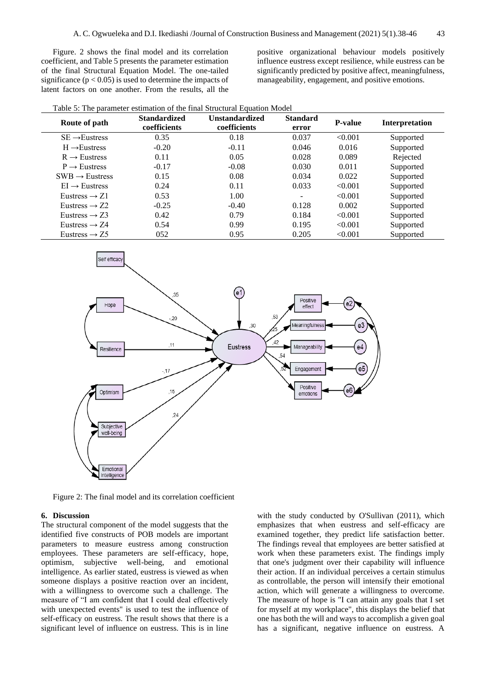Figure. 2 shows the final model and its correlation coefficient, and Table 5 presents the parameter estimation of the final Structural Equation Model. The one-tailed significance ( $p < 0.05$ ) is used to determine the impacts of latent factors on one another. From the results, all the

positive organizational behaviour models positively influence eustress except resilience, while eustress can be significantly predicted by positive affect, meaningfulness, manageability, engagement, and positive emotions.

| Table 5: The parameter estimation of the final Structural Equation Model |  |  |  |  |  |
|--------------------------------------------------------------------------|--|--|--|--|--|
|--------------------------------------------------------------------------|--|--|--|--|--|

| Route of path              | <b>Standardized</b><br>coefficients | <b>Unstandardized</b><br>coefficients | <b>Standard</b><br>error | <b>P-value</b> | Interpretation |
|----------------------------|-------------------------------------|---------------------------------------|--------------------------|----------------|----------------|
| $SE \rightarrow Eustress$  | 0.35                                | 0.18                                  | 0.037                    | < 0.001        | Supported      |
| $H \rightarrow$ Eustress   | $-0.20$                             | $-0.11$                               | 0.046                    | 0.016          | Supported      |
| $R \rightarrow$ Eustress   | 0.11                                | 0.05                                  | 0.028                    | 0.089          | Rejected       |
| $P \rightarrow$ Eustress   | $-0.17$                             | $-0.08$                               | 0.030                    | 0.011          | Supported      |
| $SWB \rightarrow Eustress$ | 0.15                                | 0.08                                  | 0.034                    | 0.022          | Supported      |
| $EI \rightarrow Eustress$  | 0.24                                | 0.11                                  | 0.033                    | < 0.001        | Supported      |
| Eustress $\rightarrow Z1$  | 0.53                                | 1.00                                  | $\overline{\phantom{0}}$ | < 0.001        | Supported      |
| Eustress $\rightarrow$ Z2  | $-0.25$                             | $-0.40$                               | 0.128                    | 0.002          | Supported      |
| Eustress $\rightarrow$ Z3  | 0.42                                | 0.79                                  | 0.184                    | < 0.001        | Supported      |
| Eustress $\rightarrow Z4$  | 0.54                                | 0.99                                  | 0.195                    | < 0.001        | Supported      |
| Eustress $\rightarrow$ Z5  | 052                                 | 0.95                                  | 0.205                    | < 0.001        | Supported      |



Figure 2: The final model and its correlation coefficient

### **6. Discussion**

The structural component of the model suggests that the identified five constructs of POB models are important parameters to measure eustress among construction employees. These parameters are self-efficacy, hope, optimism, subjective well-being, and emotional intelligence. As earlier stated, eustress is viewed as when someone displays a positive reaction over an incident, with a willingness to overcome such a challenge. The measure of "I am confident that I could deal effectively with unexpected events" is used to test the influence of self-efficacy on eustress. The result shows that there is a significant level of influence on eustress. This is in line

with the study conducted by O'Sullivan (2011), which emphasizes that when eustress and self-efficacy are examined together, they predict life satisfaction better. The findings reveal that employees are better satisfied at work when these parameters exist. The findings imply that one's judgment over their capability will influence their action. If an individual perceives a certain stimulus as controllable, the person will intensify their emotional action, which will generate a willingness to overcome. The measure of hope is "I can attain any goals that I set for myself at my workplace", this displays the belief that one has both the will and ways to accomplish a given goal has a significant, negative influence on eustress. A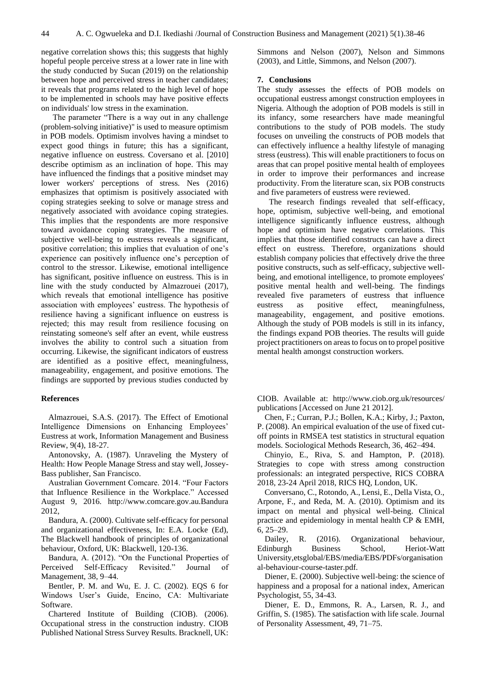negative correlation shows this; this suggests that highly hopeful people perceive stress at a lower rate in line with the study conducted by Sucan (2019) on the relationship between hope and perceived stress in teacher candidates; it reveals that programs related to the high level of hope to be implemented in schools may have positive effects on individuals' low stress in the examination.

The parameter "There is a way out in any challenge (problem-solving initiative)" is used to measure optimism in POB models. Optimism involves having a mindset to expect good things in future; this has a significant, negative influence on eustress. Coversano et al. [2010] describe optimism as an inclination of hope. This may have influenced the findings that a positive mindset may lower workers' perceptions of stress. Nes (2016) emphasizes that optimism is positively associated with coping strategies seeking to solve or manage stress and negatively associated with avoidance coping strategies. This implies that the respondents are more responsive toward avoidance coping strategies. The measure of subjective well-being to eustress reveals a significant, positive correlation; this implies that evaluation of one's experience can positively influence one's perception of control to the stressor. Likewise, emotional intelligence has significant, positive influence on eustress. This is in line with the study conducted by Almazrouei (2017), which reveals that emotional intelligence has positive association with employees' eustress. The hypothesis of resilience having a significant influence on eustress is rejected; this may result from resilience focusing on reinstating someone's self after an event, while eustress involves the ability to control such a situation from occurring. Likewise, the significant indicators of eustress are identified as a positive effect, meaningfulness, manageability, engagement, and positive emotions. The findings are supported by previous studies conducted by

# **References**

Almazrouei, S.A.S. (2017). The Effect of Emotional Intelligence Dimensions on Enhancing Employees' Eustress at work, Information Management and Business Review, 9(4), 18-27.

Antonovsky, A. (1987). Unraveling the Mystery of Health: How People Manage Stress and stay well, Jossey-Bass publisher, San Francisco.

Australian Government Comcare. 2014. "Four Factors that Influence Resilience in the Workplace." Accessed August 9, 2016. http://www.comcare.gov.au.Bandura 2012,

Bandura, A. (2000). Cultivate self-efficacy for personal and organizational effectiveness, In: E.A. Locke (Ed), The Blackwell handbook of principles of organizational behaviour, Oxford, UK: Blackwell, 120-136.

Bandura, A. (2012). "On the Functional Properties of Perceived Self-Efficacy Revisited." Journal of Management, 38, 9–44.

Bentler, P. M. and Wu, E. J. C. (2002). EQS 6 for Windows User's Guide, Encino, CA: Multivariate Software.

Chartered Institute of Building (CIOB). (2006). Occupational stress in the construction industry. CIOB Published National Stress Survey Results. Bracknell, UK: Simmons and Nelson (2007), Nelson and Simmons (2003), and Little, Simmons, and Nelson (2007).

#### **7. Conclusions**

The study assesses the effects of POB models on occupational eustress amongst construction employees in Nigeria. Although the adoption of POB models is still in its infancy, some researchers have made meaningful contributions to the study of POB models. The study focuses on unveiling the constructs of POB models that can effectively influence a healthy lifestyle of managing stress (eustress). This will enable practitioners to focus on areas that can propel positive mental health of employees in order to improve their performances and increase productivity. From the literature scan, six POB constructs and five parameters of eustress were reviewed.

The research findings revealed that self-efficacy, hope, optimism, subjective well-being, and emotional intelligence significantly influence eustress, although hope and optimism have negative correlations. This implies that those identified constructs can have a direct effect on eustress. Therefore, organizations should establish company policies that effectively drive the three positive constructs, such as self-efficacy, subjective wellbeing, and emotional intelligence, to promote employees' positive mental health and well-being. The findings revealed five parameters of eustress that influence eustress as positive effect, meaningfulness, manageability, engagement, and positive emotions. Although the study of POB models is still in its infancy, the findings expand POB theories. The results will guide project practitioners on areas to focus on to propel positive mental health amongst construction workers.

CIOB. Available at: http://www.ciob.org.uk/resources/ publications [Accessed on June 21 2012].

Chen, F.; Curran, P.J.; Bollen, K.A.; Kirby, J.; Paxton, P. (2008). An empirical evaluation of the use of fixed cutoff points in RMSEA test statistics in structural equation models. Sociological Methods Research, 36, 462–494.

Chinyio, E., Riva, S. and Hampton, P. (2018). Strategies to cope with stress among construction professionals: an integrated perspective, RICS COBRA 2018, 23-24 April 2018, RICS HQ, London, UK.

Conversano, C., Rotondo, A., Lensi, E., Della Vista, O., Arpone, F., and Reda, M. A. (2010). Optimism and its impact on mental and physical well-being. Clinical practice and epidemiology in mental health CP & EMH, 6, 25–29.

Dailey, R. (2016). Organizational behaviour, Edinburgh Business School, Heriot-Watt University,etsglobal/EBS/media/EBS/PDFs/organisation al-behaviour-course-taster.pdf.

Diener, E. (2000). Subjective well-being: the science of happiness and a proposal for a national index, American Psychologist, 55, 34-43.

Diener, E. D., Emmons, R. A., Larsen, R. J., and Griffin, S. (1985). The satisfaction with life scale. Journal of Personality Assessment, 49, 71–75.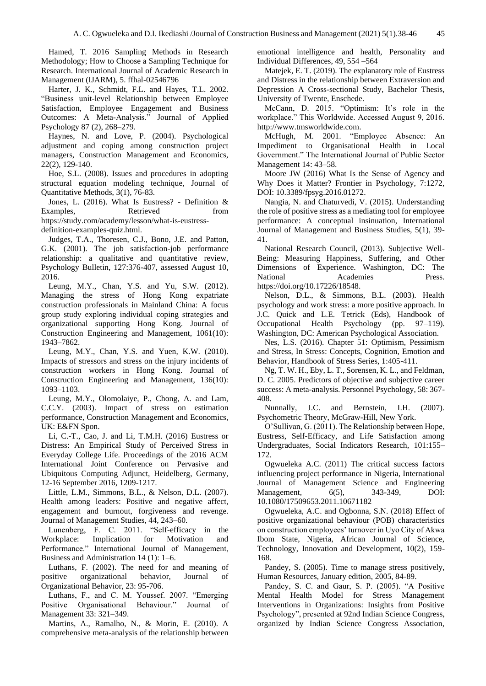Hamed, T. 2016 Sampling Methods in Research Methodology; How to Choose a Sampling Technique for Research. International Journal of Academic Research in Management (IJARM), 5. ffhal-02546796

Harter, J. K., Schmidt, F.L. and Hayes, T.L. 2002. "Business unit-level Relationship between Employee Satisfaction, Employee Engagement and Business Outcomes: A Meta-Analysis." Journal of Applied Psychology 87 (2), 268–279.

Haynes, N. and Love, P. (2004). Psychological adjustment and coping among construction project managers, Construction Management and Economics, 22(2), 129-140.

Hoe, S.L. (2008). Issues and procedures in adopting structural equation modeling technique, Journal of Quantitative Methods, 3(1), 76-83.

Jones, L. (2016). What Is Eustress? - Definition & Examples, Retrieved from https://study.com/academy/lesson/what-is-eustress-

definition-examples-quiz.html.

Judges, T.A., Thoresen, C.J., Bono, J.E. and Patton, G.K. (2001). The job satisfaction-job performance relationship: a qualitative and quantitative review, Psychology Bulletin, 127:376-407, assessed August 10, 2016.

Leung, M.Y., Chan, Y.S. and Yu, S.W. (2012). Managing the stress of Hong Kong expatriate construction professionals in Mainland China: A focus group study exploring individual coping strategies and organizational supporting Hong Kong. Journal of Construction Engineering and Management, 1061(10): 1943–7862.

Leung, M.Y., Chan, Y.S. and Yuen, K.W. (2010). Impacts of stressors and stress on the injury incidents of construction workers in Hong Kong. Journal of Construction Engineering and Management, 136(10): 1093–1103.

Leung, M.Y., Olomolaiye, P., Chong, A. and Lam, C.C.Y. (2003). Impact of stress on estimation performance, Construction Management and Economics, UK: E&FN Spon.

Li, C.-T., Cao, J. and Li, T.M.H. (2016) Eustress or Distress: An Empirical Study of Perceived Stress in Everyday College Life. Proceedings of the 2016 ACM International Joint Conference on Pervasive and Ubiquitous Computing Adjunct, Heidelberg, Germany, 12-16 September 2016, 1209-1217.

Little, L.M., Simmons, B.L., & Nelson, D.L. (2007). Health among leaders: Positive and negative affect, engagement and burnout, forgiveness and revenge. Journal of Management Studies, 44, 243–60.

Lunenberg, F. C. 2011. "Self-efficacy in the Workplace: Implication for Motivation and Performance." International Journal of Management, Business and Administration 14 (1): 1–6.

Luthans, F. (2002). The need for and meaning of positive organizational behavior, Journal of Organizational Behavior, 23: 95-706.

Luthans, F., and C. M. Youssef. 2007. "Emerging Positive Organisational Behaviour." Journal of Management 33: 321–349.

Martins, A., Ramalho, N., & Morin, E. (2010). A comprehensive meta-analysis of the relationship between emotional intelligence and health, Personality and Individual Differences, 49, 554 –564

Matejek, E. T. (2019). The explanatory role of Eustress and Distress in the relationship between Extraversion and Depression A Cross-sectional Study, Bachelor Thesis, University of Twente, Enschede.

McCann, D. 2015. "Optimism: It's role in the workplace." This Worldwide. Accessed August 9, 2016. http://www.tmsworldwide.com.

McHugh, M. 2001. "Employee Absence: An Impediment to Organisational Health in Local Government." The International Journal of Public Sector Management 14: 43–58.

Moore JW (2016) What Is the Sense of Agency and Why Does it Matter? Frontier in Psychology, 7:1272, DOI: 10.3389/fpsyg.2016.01272.

Nangia, N. and Chaturvedi, V. (2015). Understanding the role of positive stress as a mediating tool for employee performance: A conceptual insinuation, International Journal of Management and Business Studies, 5(1), 39- 41.

National Research Council, (2013). Subjective Well-Being: Measuring Happiness, Suffering, and Other Dimensions of Experience. Washington, DC: The National Academies Press. https://doi.org/10.17226/18548.

Nelson, D.L., & Simmons, B.L. (2003). Health psychology and work stress: a more positive approach. In J.C. Quick and L.E. Tetrick (Eds), Handbook of Occupational Health Psychology (pp. 97–119). Washington, DC: American Psychological Association.

Nes, L.S. (2016). Chapter 51: Optimism, Pessimism and Stress, In Stress: Concepts, Cognition, Emotion and Behavior, Handbook of Stress Series, 1:405-411.

Ng, T. W. H., Eby, L. T., Sorensen, K. L., and Feldman, D. C. 2005. Predictors of objective and subjective career success: A meta-analysis. Personnel Psychology, 58: 367- 408.

Nunnally, J.C. and Bernstein, I.H. (2007). Psychometric Theory, McGraw-Hill, New York.

O'Sullivan, G. (2011). The Relationship between Hope, Eustress, Self-Efficacy, and Life Satisfaction among Undergraduates, Social Indicators Research, 101:155– 172.

Ogwueleka A.C. (2011) The critical success factors influencing project performance in Nigeria, International Journal of Management Science and Engineering Management, 6(5), 343-349, DOI: 10.1080/17509653.2011.10671182

Ogwueleka, A.C. and Ogbonna, S.N. (2018) Effect of positive organizational behaviour (POB) characteristics on construction employees' turnover in Uyo City of Akwa Ibom State, Nigeria, African Journal of Science, Technology, Innovation and Development, 10(2), 159- 168.

Pandey, S. (2005). Time to manage stress positively, Human Resources, January edition, 2005, 84-89.

Pandey, S. C. and Gaur, S. P. (2005). "A Positive Mental Health Model for Stress Management Interventions in Organizations: Insights from Positive Psychology", presented at 92nd Indian Science Congress, organized by Indian Science Congress Association,